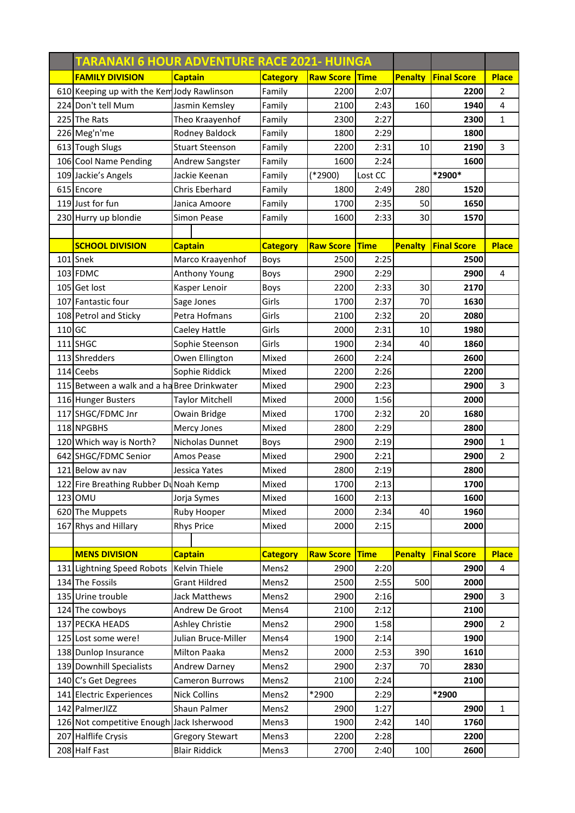|        | TARANAKI 6 HOUR ADVENTURE RACE 2021- HUINGA |                        |                 |                  |             |                |                    |                |
|--------|---------------------------------------------|------------------------|-----------------|------------------|-------------|----------------|--------------------|----------------|
|        | <b>FAMILY DIVISION</b>                      | <b>Captain</b>         | <b>Category</b> | <b>Raw Score</b> | <b>Time</b> | <b>Penalty</b> | <b>Final Score</b> | <b>Place</b>   |
|        | 610 Keeping up with the Kem Jody Rawlinson  |                        | Family          | 2200             | 2:07        |                | 2200               | 2              |
|        | 224 Don't tell Mum                          | Jasmin Kemsley         | Family          | 2100             | 2:43        | 160            | 1940               | 4              |
|        | 225 The Rats                                | Theo Kraayenhof        | Family          | 2300             | 2:27        |                | 2300               | $\mathbf{1}$   |
|        | 226 Meg'n'me                                | Rodney Baldock         | Family          | 1800             | 2:29        |                | 1800               |                |
|        | 613 Tough Slugs                             | <b>Stuart Steenson</b> | Family          | 2200             | 2:31        | 10             | 2190               | 3              |
|        | 106 Cool Name Pending                       | Andrew Sangster        | Family          | 1600             | 2:24        |                | 1600               |                |
|        | 109 Jackie's Angels                         | Jackie Keenan          | Family          | $(*2900)$        | Lost CC     |                | *2900*             |                |
|        | 615 Encore                                  | Chris Eberhard         | Family          | 1800             | 2:49        | 280            | 1520               |                |
|        | 119 Just for fun                            | Janica Amoore          | Family          | 1700             | 2:35        | 50             | 1650               |                |
|        | 230 Hurry up blondie                        | Simon Pease            | Family          | 1600             | 2:33        | 30             | 1570               |                |
|        |                                             |                        |                 |                  |             |                |                    |                |
|        | <b>SCHOOL DIVISION</b>                      | <b>Captain</b>         | <b>Category</b> | <b>Raw Score</b> | <b>Time</b> | Penalty        | <b>Final Score</b> | <b>Place</b>   |
|        | 101 Snek                                    | Marco Kraayenhof       | Boys            | 2500             | 2:25        |                | 2500               |                |
|        | 103 FDMC                                    | Anthony Young          | Boys            | 2900             | 2:29        |                | 2900               | 4              |
|        | 105 Get lost                                | Kasper Lenoir          | Boys            | 2200             | 2:33        | 30             | 2170               |                |
|        | 107 Fantastic four                          | Sage Jones             | Girls           | 1700             | 2:37        | 70             | 1630               |                |
|        | 108 Petrol and Sticky                       | Petra Hofmans          | Girls           | 2100             | 2:32        | 20             | 2080               |                |
| 110 GC |                                             | Caeley Hattle          | Girls           | 2000             | 2:31        | 10             | 1980               |                |
|        | 111 SHGC                                    | Sophie Steenson        | Girls           | 1900             | 2:34        | 40             | 1860               |                |
|        | 113 Shredders                               | Owen Ellington         | Mixed           | 2600             | 2:24        |                | 2600               |                |
|        | 114 Ceebs                                   | Sophie Riddick         | Mixed           | 2200             | 2:26        |                | 2200               |                |
|        | 115 Between a walk and a ha Bree Drinkwater |                        | Mixed           | 2900             | 2:23        |                | 2900               | 3              |
|        | 116 Hunger Busters                          | <b>Taylor Mitchell</b> | Mixed           | 2000             | 1:56        |                | 2000               |                |
|        | 117 SHGC/FDMC Jnr                           | Owain Bridge           | Mixed           | 1700             | 2:32        | 20             | 1680               |                |
|        | 118 NPGBHS                                  | Mercy Jones            | Mixed           | 2800             | 2:29        |                | 2800               |                |
|        | 120 Which way is North?                     | Nicholas Dunnet        | Boys            | 2900             | 2:19        |                | 2900               | 1              |
|        | 642 SHGC/FDMC Senior                        | Amos Pease             | Mixed           | 2900             | 2:21        |                | 2900               | 2              |
|        | 121 Below av nav                            | Jessica Yates          | Mixed           | 2800             | 2:19        |                | 2800               |                |
|        | 122 Fire Breathing Rubber Du Noah Kemp      |                        | Mixed           | 1700             | 2:13        |                | 1700               |                |
|        | 123 OMU                                     | Jorja Symes            | Mixed           | 1600             | 2:13        |                | 1600               |                |
|        | 620 The Muppets                             | Ruby Hooper            | Mixed           | 2000             | 2:34        | 40             | 1960               |                |
|        | 167 Rhys and Hillary                        | <b>Rhys Price</b>      | Mixed           | 2000             | 2:15        |                | 2000               |                |
|        |                                             |                        |                 |                  |             |                |                    |                |
|        | <b>MENS DIVISION</b>                        | <b>Captain</b>         | <b>Category</b> | <b>Raw Score</b> | <b>Time</b> | Penalty        | <b>Final Score</b> | <b>Place</b>   |
|        | 131 Lightning Speed Robots                  | <b>Kelvin Thiele</b>   | Mens2           | 2900             | 2:20        |                | 2900               | 4              |
|        | 134 The Fossils                             | <b>Grant Hildred</b>   | Mens2           | 2500             | 2:55        | 500            | 2000               |                |
|        | 135 Urine trouble                           | Jack Matthews          | Mens2           | 2900             | 2:16        |                | 2900               | 3              |
|        | 124 The cowboys                             | Andrew De Groot        | Mens4           | 2100             | 2:12        |                | 2100               |                |
|        | 137 PECKA HEADS                             | Ashley Christie        | Mens2           | 2900             | 1:58        |                | 2900               | $\overline{2}$ |
|        | 125 Lost some were!                         | Julian Bruce-Miller    | Mens4           | 1900             | 2:14        |                | 1900               |                |
|        | 138 Dunlop Insurance                        | Milton Paaka           | Mens2           | 2000             | 2:53        | 390            | 1610               |                |
|        | 139 Downhill Specialists                    | <b>Andrew Darney</b>   | Mens2           | 2900             | 2:37        | 70             | 2830               |                |
|        | 140 C's Get Degrees                         | Cameron Burrows        | Mens2           | 2100             | 2:24        |                | 2100               |                |
|        | 141 Electric Experiences                    | <b>Nick Collins</b>    | Mens2           | *2900            | 2:29        |                | *2900              |                |
|        | 142 PalmerJIZZ                              | Shaun Palmer           | Mens2           | 2900             | 1:27        |                | 2900               | 1              |
|        | 126 Not competitive Enough Jack Isherwood   |                        | Mens3           | 1900             | 2:42        | 140            | 1760               |                |
|        | 207 Halflife Crysis                         | <b>Gregory Stewart</b> | Mens3           | 2200             | 2:28        |                | 2200               |                |
|        | 208 Half Fast                               | <b>Blair Riddick</b>   | Mens3           | 2700             | 2:40        | 100            | 2600               |                |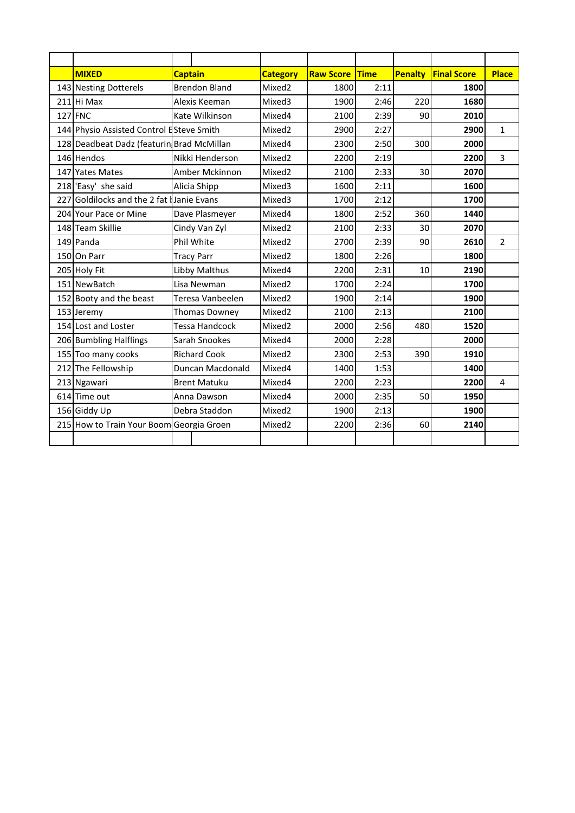|     | <b>MIXED</b>                                | <b>Captain</b>      |                       | <b>Category</b>    | <b>Raw Score</b> | <b>Time</b> | <b>Penalty</b> | <b>Final Score</b> | <b>Place</b>   |
|-----|---------------------------------------------|---------------------|-----------------------|--------------------|------------------|-------------|----------------|--------------------|----------------|
|     | 143 Nesting Dotterels                       |                     | <b>Brendon Bland</b>  | Mixed2             | 1800             | 2:11        |                | 1800               |                |
|     | 211 Hi Max                                  |                     | Alexis Keeman         | Mixed3             | 1900             | 2:46        | 220            | 1680               |                |
|     | 127 FNC                                     |                     | Kate Wilkinson        | Mixed4             | 2100             | 2:39        | 90             | 2010               |                |
|     | 144 Physio Assisted Control ESteve Smith    |                     |                       | Mixed2             | 2900             | 2:27        |                | 2900               | $\mathbf{1}$   |
|     | 128 Deadbeat Dadz (featurin Brad McMillan   |                     |                       | Mixed4             | 2300             | 2:50        | 300            | 2000               |                |
|     | 146 Hendos                                  |                     | Nikki Henderson       | Mixed2             | 2200             | 2:19        |                | 2200               | 3              |
|     | 147 Yates Mates                             |                     | Amber Mckinnon        | Mixed <sub>2</sub> | 2100             | 2:33        | 30             | 2070               |                |
|     | 218 'Easy' she said                         |                     | Alicia Shipp          | Mixed3             | 1600             | 2:11        |                | 1600               |                |
| 227 | Goldilocks and the 2 fat <b>Janie Evans</b> |                     |                       | Mixed3             | 1700             | 2:12        |                | 1700               |                |
|     | 204 Your Pace or Mine                       |                     | Dave Plasmeyer        | Mixed4             | 1800             | 2:52        | 360            | 1440               |                |
|     | 148 Team Skillie                            |                     | Cindy Van Zyl         | Mixed <sub>2</sub> | 2100             | 2:33        | 30             | 2070               |                |
|     | 149 Panda                                   |                     | Phil White            | Mixed2             | 2700             | 2:39        | 90             | 2610               | $\overline{2}$ |
|     | 150 On Parr                                 |                     | <b>Tracy Parr</b>     | Mixed2             | 1800             | 2:26        |                | 1800               |                |
|     | 205 Holy Fit                                |                     | Libby Malthus         | Mixed4             | 2200             | 2:31        | 10             | 2190               |                |
|     | 151 NewBatch                                |                     | Lisa Newman           | Mixed2             | 1700             | 2:24        |                | 1700               |                |
|     | 152 Booty and the beast                     |                     | Teresa Vanbeelen      | Mixed <sub>2</sub> | 1900             | 2:14        |                | 1900               |                |
|     | 153 Jeremy                                  |                     | <b>Thomas Downey</b>  | Mixed <sub>2</sub> | 2100             | 2:13        |                | 2100               |                |
|     | 154 Lost and Loster                         |                     | <b>Tessa Handcock</b> | Mixed <sub>2</sub> | 2000             | 2:56        | 480            | 1520               |                |
|     | 206 Bumbling Halflings                      |                     | Sarah Snookes         | Mixed4             | 2000             | 2:28        |                | 2000               |                |
|     | 155 Too many cooks                          |                     | <b>Richard Cook</b>   | Mixed <sub>2</sub> | 2300             | 2:53        | 390            | 1910               |                |
|     | 212 The Fellowship                          |                     | Duncan Macdonald      | Mixed4             | 1400             | 1:53        |                | 1400               |                |
|     | 213 Ngawari                                 | <b>Brent Matuku</b> |                       | Mixed4             | 2200             | 2:23        |                | 2200               | 4              |
|     | 614 Time out                                | Anna Dawson         |                       | Mixed4             | 2000             | 2:35        | 50             | 1950               |                |
|     | 156 Giddy Up                                | Debra Staddon       |                       | Mixed2             | 1900             | 2:13        |                | 1900               |                |
|     | 215 How to Train Your Boom Georgia Groen    |                     |                       | Mixed <sub>2</sub> | 2200             | 2:36        | 60             | 2140               |                |
|     |                                             |                     |                       |                    |                  |             |                |                    |                |